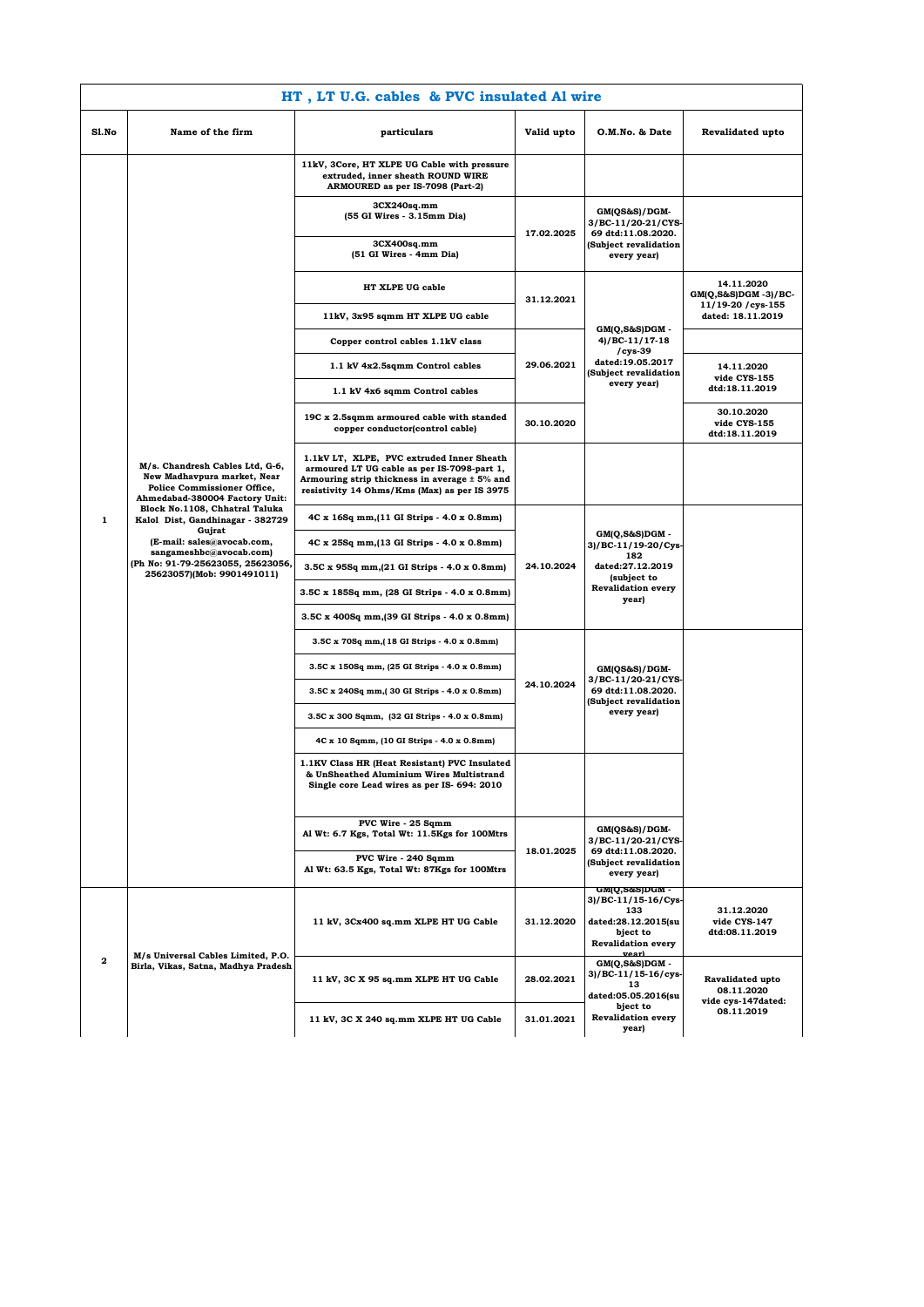|              | HT, LT U.G. cables & PVC insulated Al wire                                                                                                                                                                                                                                                                                                         |                                                                                                                                                                                           |            |                                                                                                                        |                                                                |  |  |
|--------------|----------------------------------------------------------------------------------------------------------------------------------------------------------------------------------------------------------------------------------------------------------------------------------------------------------------------------------------------------|-------------------------------------------------------------------------------------------------------------------------------------------------------------------------------------------|------------|------------------------------------------------------------------------------------------------------------------------|----------------------------------------------------------------|--|--|
| Sl.No        | Name of the firm                                                                                                                                                                                                                                                                                                                                   | particulars                                                                                                                                                                               | Valid upto | O.M.No. & Date                                                                                                         | Revalidated upto                                               |  |  |
|              |                                                                                                                                                                                                                                                                                                                                                    | 11kV, 3Core, HT XLPE UG Cable with pressure<br>extruded, inner sheath ROUND WIRE<br>ARMOURED as per IS-7098 (Part-2)                                                                      |            |                                                                                                                        |                                                                |  |  |
|              |                                                                                                                                                                                                                                                                                                                                                    | 3CX240sqmm<br>(55 GI Wires - 3.15mm Dia)                                                                                                                                                  | 17.02.2025 | GM(QS&S)/DGM-<br>3/BC-11/20-21/CYS-<br>69 dtd:11.08.2020.<br>(Subject revalidation<br>every year)                      |                                                                |  |  |
|              |                                                                                                                                                                                                                                                                                                                                                    | 3CX400sq.mm<br>(51 GI Wires - 4mm Dia)                                                                                                                                                    |            |                                                                                                                        |                                                                |  |  |
|              |                                                                                                                                                                                                                                                                                                                                                    | HT XLPE UG cable                                                                                                                                                                          | 31.12.2021 | GM(Q,S&S)DGM -                                                                                                         | 14.11.2020<br>$GM(Q, S\&S)DGM - 3)/BC$ -<br>11/19-20 / cys-155 |  |  |
|              |                                                                                                                                                                                                                                                                                                                                                    | 11kV, 3x95 sqmm HT XLPE UG cable                                                                                                                                                          |            |                                                                                                                        | dated: 18.11.2019                                              |  |  |
|              |                                                                                                                                                                                                                                                                                                                                                    | Copper control cables 1.1kV class                                                                                                                                                         |            | 4)/BC-11/17-18<br>cys-39/                                                                                              |                                                                |  |  |
|              |                                                                                                                                                                                                                                                                                                                                                    | 1.1 kV 4x2.5sqmm Control cables                                                                                                                                                           | 29.06.2021 | dated:19.05.2017<br>(Subject revalidation                                                                              | 14.11.2020<br>vide CYS-155                                     |  |  |
|              |                                                                                                                                                                                                                                                                                                                                                    | 1.1 kV 4x6 sqmm Control cables                                                                                                                                                            |            | every year)                                                                                                            | dtd:18.11.2019                                                 |  |  |
|              |                                                                                                                                                                                                                                                                                                                                                    | 19C x 2.5sqmm armoured cable with standed<br>copper conductor(control cable)                                                                                                              | 30.10.2020 |                                                                                                                        | 30.10.2020<br>vide CYS-155<br>dtd:18.11.2019                   |  |  |
|              | M/s. Chandresh Cables Ltd, G-6,<br>New Madhavpura market, Near<br><b>Police Commissioner Office,</b><br>Ahmedabad-380004 Factory Unit:<br>Block No.1108, Chhatral Taluka<br>Kalol Dist, Gandhinagar - 382729<br>Gujrat<br>(E-mail: sales@avocab.com,<br>sangameshbc@avocab.com)<br>(Ph No: 91-79-25623055, 25623056,<br>25623057)(Mob: 9901491011) | 1.1kV LT, XLPE, PVC extruded Inner Sheath<br>armoured LT UG cable as per IS-7098-part 1,<br>Armouring strip thickness in average ± 5% and<br>resistivity 14 Ohms/Kms (Max) as per IS 3975 |            |                                                                                                                        |                                                                |  |  |
| 1            |                                                                                                                                                                                                                                                                                                                                                    | 4C x 16Sq mm, (11 GI Strips - 4.0 x 0.8mm)                                                                                                                                                |            |                                                                                                                        |                                                                |  |  |
|              |                                                                                                                                                                                                                                                                                                                                                    | 4C x 25Sq mm, (13 GI Strips - 4.0 x 0.8mm)                                                                                                                                                |            | GM(Q,S&S)DGM -<br>$3)/BC-11/19-20/Cys$<br>182<br>dated:27.12.2019<br>(subject to<br><b>Revalidation every</b><br>year) |                                                                |  |  |
|              |                                                                                                                                                                                                                                                                                                                                                    | 3.5C x 95Sq mm, (21 GI Strips - 4.0 x 0.8mm)                                                                                                                                              | 24.10.2024 |                                                                                                                        |                                                                |  |  |
|              |                                                                                                                                                                                                                                                                                                                                                    | 3.5C x 185Sq mm, (28 GI Strips - 4.0 x 0.8mm)                                                                                                                                             |            |                                                                                                                        |                                                                |  |  |
|              |                                                                                                                                                                                                                                                                                                                                                    | 3.5C x 400Sq mm, (39 GI Strips - 4.0 x 0.8mm)                                                                                                                                             |            |                                                                                                                        |                                                                |  |  |
|              |                                                                                                                                                                                                                                                                                                                                                    | 3.5C x 70Sq mm, (18 GI Strips - 4.0 x 0.8mm)                                                                                                                                              |            | GM(QS&S)/DGM-<br>3/BC-11/20-21/CYS-<br>69 dtd:11.08.2020.<br>(Subject revalidation<br>every year)                      |                                                                |  |  |
|              |                                                                                                                                                                                                                                                                                                                                                    | 3.5C x 150Sq mm, (25 GI Strips - 4.0 x 0.8mm)                                                                                                                                             | 24.10.2024 |                                                                                                                        |                                                                |  |  |
|              |                                                                                                                                                                                                                                                                                                                                                    | 3.5C x 240Sq mm, 30 GI Strips - 4.0 x 0.8mm)                                                                                                                                              |            |                                                                                                                        |                                                                |  |  |
|              |                                                                                                                                                                                                                                                                                                                                                    | 3.5C x 300 Sqmm, (32 GI Strips - 4.0 x 0.8mm)                                                                                                                                             |            |                                                                                                                        |                                                                |  |  |
|              |                                                                                                                                                                                                                                                                                                                                                    | 4C x 10 Sqmm, (10 GI Strips - 4.0 x 0.8mm)                                                                                                                                                |            |                                                                                                                        |                                                                |  |  |
|              |                                                                                                                                                                                                                                                                                                                                                    | 1.1KV Class HR (Heat Resistant) PVC Insulated<br>& UnSheathed Aluminium Wires Multistrand<br>Single core Lead wires as per IS- 694: 2010                                                  |            |                                                                                                                        |                                                                |  |  |
|              |                                                                                                                                                                                                                                                                                                                                                    | PVC Wire - 25 Sqmm<br>Al Wt: 6.7 Kgs, Total Wt: 11.5Kgs for 100Mtrs                                                                                                                       | 18.01.2025 | GM(QS&S)/DGM-<br>3/BC-11/20-21/CYS-                                                                                    |                                                                |  |  |
|              |                                                                                                                                                                                                                                                                                                                                                    | PVC Wire - 240 Sqmm<br>Al Wt: 63.5 Kgs, Total Wt: 87Kgs for 100Mtrs                                                                                                                       |            | 69 dtd:11.08.2020.<br>(Subject revalidation<br>every year)                                                             |                                                                |  |  |
| $\mathbf{2}$ | M/s Universal Cables Limited, P.O.<br>Birla, Vikas, Satna, Madhya Pradesh                                                                                                                                                                                                                                                                          | 11 kV, 3Cx400 sq.mm XLPE HT UG Cable                                                                                                                                                      | 31.12.2020 | GM(Q,S&S)DGM -<br>3)/BC-11/15-16/Cys-<br>133<br>dated:28.12.2015(su<br>bject to<br><b>Revalidation every</b>           | 31.12.2020<br>vide CYS-147<br>dtd:08.11.2019                   |  |  |
|              |                                                                                                                                                                                                                                                                                                                                                    | 11 kV, 3C X 95 sq.mm XLPE HT UG Cable                                                                                                                                                     | 28.02.2021 | vearl<br>$GM(Q, S&S)DGM -$<br>3)/BC-11/15-16/cys-<br>13<br>dated:05.05.2016(su                                         | Ravalidated upto<br>08.11.2020                                 |  |  |
|              |                                                                                                                                                                                                                                                                                                                                                    | 11 kV, 3C X 240 sq.mm XLPE HT UG Cable                                                                                                                                                    | 31.01.2021 | bject to<br><b>Revalidation every</b><br>year)                                                                         | vide cys-147dated:<br>08.11.2019                               |  |  |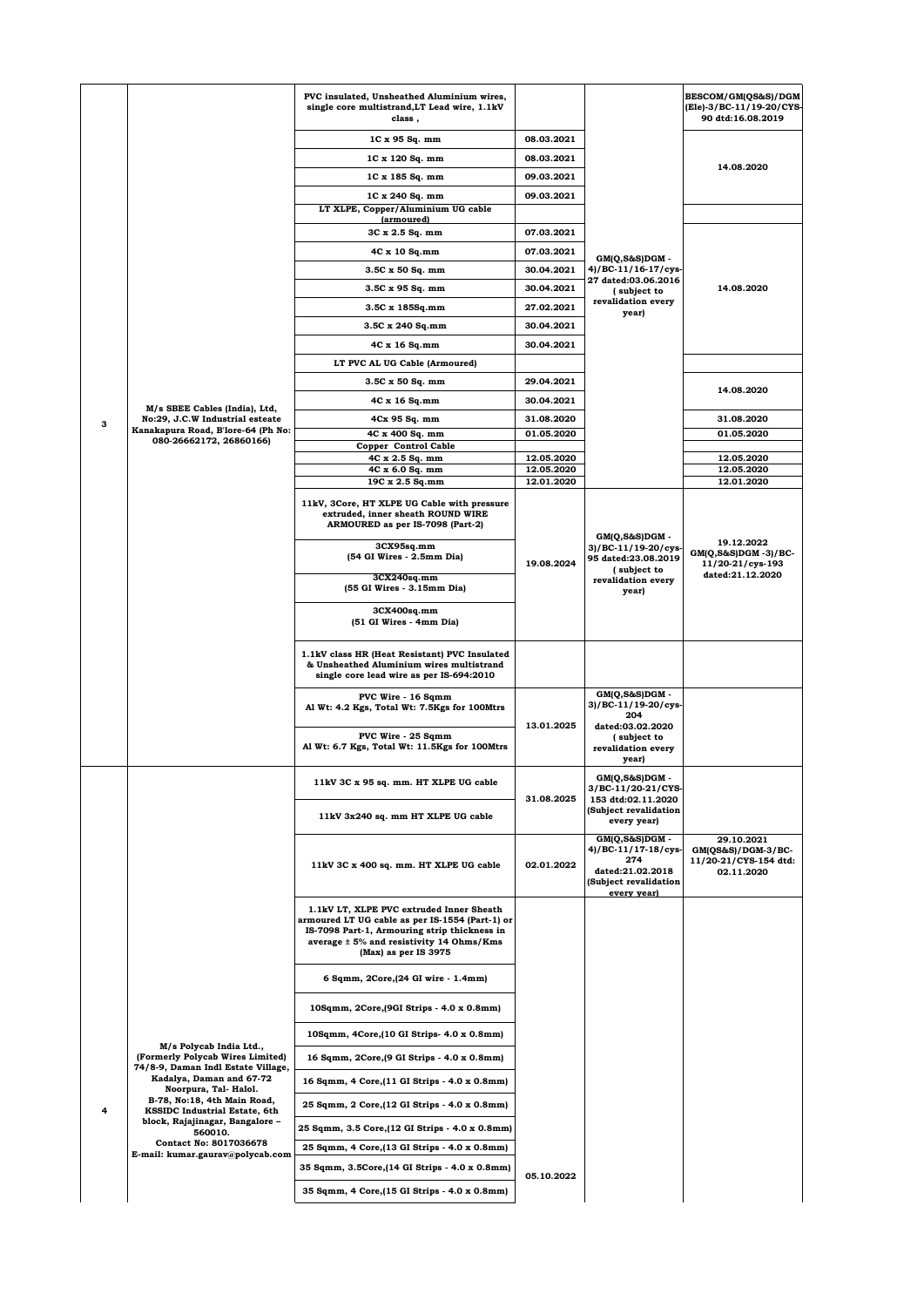|                                                                                                                                                                                           |                                                                  | PVC insulated, Unsheathed Aluminium wires,<br>single core multistrand, LT Lead wire, 1.1kV<br>class,                                                                                                            |                          |                                                                                                          | BESCOM/GM(QS&S)/DGM<br>(Ele)-3/BC-11/19-20/CYS-<br>90 dtd:16.08.2019      |
|-------------------------------------------------------------------------------------------------------------------------------------------------------------------------------------------|------------------------------------------------------------------|-----------------------------------------------------------------------------------------------------------------------------------------------------------------------------------------------------------------|--------------------------|----------------------------------------------------------------------------------------------------------|---------------------------------------------------------------------------|
|                                                                                                                                                                                           |                                                                  | 1C x 95 Sq. mm                                                                                                                                                                                                  | 08.03.2021               |                                                                                                          |                                                                           |
|                                                                                                                                                                                           |                                                                  | 1C x 120 Sq. mm                                                                                                                                                                                                 | 08.03.2021               |                                                                                                          | 14.08.2020                                                                |
|                                                                                                                                                                                           |                                                                  | 1C x 185 Sq. mm                                                                                                                                                                                                 | 09.03.2021               |                                                                                                          |                                                                           |
|                                                                                                                                                                                           |                                                                  | 1C x 240 Sq. mm                                                                                                                                                                                                 | 09.03.2021               |                                                                                                          |                                                                           |
|                                                                                                                                                                                           |                                                                  | LT XLPE, Copper/Aluminium UG cable<br><i>(armoured)</i>                                                                                                                                                         |                          |                                                                                                          |                                                                           |
|                                                                                                                                                                                           |                                                                  | 3C x 2.5 Sq. mm                                                                                                                                                                                                 | 07.03.2021               |                                                                                                          |                                                                           |
|                                                                                                                                                                                           |                                                                  | 4C x 10 Sq.mm                                                                                                                                                                                                   | 07.03.2021               | GM(Q,S&S)DGM -                                                                                           |                                                                           |
|                                                                                                                                                                                           |                                                                  | 3.5C x 50 Sq. mm                                                                                                                                                                                                | 30.04.2021               | 4)/BC-11/16-17/cys-<br><b>27 dated:03.06.2016</b>                                                        |                                                                           |
|                                                                                                                                                                                           |                                                                  | 3.5C x 95 Sq. mm                                                                                                                                                                                                | 30.04.2021               | (subject to<br>revalidation every                                                                        | 14.08.2020                                                                |
|                                                                                                                                                                                           |                                                                  | 3.5C x 185Sq.mm                                                                                                                                                                                                 | 27.02.2021<br>30.04.2021 | year)                                                                                                    |                                                                           |
|                                                                                                                                                                                           |                                                                  | 3.5C x 240 Sq.mm<br>4C x 16 Sq.mm                                                                                                                                                                               | 30.04.2021               |                                                                                                          |                                                                           |
|                                                                                                                                                                                           |                                                                  | LT PVC AL UG Cable (Armoured)                                                                                                                                                                                   |                          |                                                                                                          |                                                                           |
|                                                                                                                                                                                           |                                                                  | 3.5C x 50 Sq. mm                                                                                                                                                                                                | 29.04.2021               |                                                                                                          |                                                                           |
|                                                                                                                                                                                           |                                                                  | 4C x 16 Sq.mm                                                                                                                                                                                                   | 30.04.2021               |                                                                                                          | 14.08.2020                                                                |
|                                                                                                                                                                                           | M/s SBEE Cables (India), Ltd,<br>No:29, J.C.W Industrial esteate | 4Cx 95 Sq. mm                                                                                                                                                                                                   | 31.08.2020               |                                                                                                          | 31.08.2020                                                                |
| з                                                                                                                                                                                         | Kanakapura Road, B'lore-64 (Ph No:<br>080-26662172, 26860166)    | 4C x 400 Sq. mm                                                                                                                                                                                                 | 01.05.2020               |                                                                                                          | 01.05.2020                                                                |
|                                                                                                                                                                                           |                                                                  | Copper Control Cable<br>4C x 2.5 Sq. mm                                                                                                                                                                         | 12.05.2020               |                                                                                                          | 12.05.2020                                                                |
|                                                                                                                                                                                           |                                                                  | 4C x 6.0 Sq. mm                                                                                                                                                                                                 | 12.05.2020               |                                                                                                          | 12.05.2020                                                                |
|                                                                                                                                                                                           |                                                                  | 19C x 2.5 Sq.mm                                                                                                                                                                                                 | 12.01.2020               |                                                                                                          | 12.01.2020                                                                |
|                                                                                                                                                                                           |                                                                  | 11kV, 3Core, HT XLPE UG Cable with pressure<br>extruded, inner sheath ROUND WIRE<br>ARMOURED as per IS-7098 (Part-2)                                                                                            |                          | GM(Q,S&S)DGM -                                                                                           | 19.12.2022                                                                |
|                                                                                                                                                                                           |                                                                  | 3CX95sq.mm<br>(54 GI Wires - 2.5mm Dia)                                                                                                                                                                         | 19.08.2024               | 3)/BC-11/19-20/cys-<br>95 dated:23.08.2019<br>(subject to                                                | $GM(Q, S&S)DGM -3)/BC$<br>11/20-21/cys-193<br>dated:21.12.2020            |
|                                                                                                                                                                                           |                                                                  | 3CX240sqmm<br>(55 GI Wires - 3.15mm Dia)                                                                                                                                                                        |                          | revalidation every<br>year)                                                                              |                                                                           |
|                                                                                                                                                                                           |                                                                  | 3CX400sqmm<br>(51 GI Wires - 4mm Dia)                                                                                                                                                                           |                          |                                                                                                          |                                                                           |
|                                                                                                                                                                                           |                                                                  | 1.1kV class HR (Heat Resistant) PVC Insulated<br>& Unsheathed Aluminium wires multistrand<br>single core lead wire as per IS-694:2010                                                                           |                          |                                                                                                          |                                                                           |
|                                                                                                                                                                                           |                                                                  | PVC Wire - 16 Sqmm<br>Al Wt: 4.2 Kgs, Total Wt: 7.5Kgs for 100Mtrs                                                                                                                                              | 13.01.2025               | GM(Q,S&S)DGM -<br>3)/BC-11/19-20/cys-<br>204<br>dated:03.02.2020                                         |                                                                           |
|                                                                                                                                                                                           |                                                                  | PVC Wire - 25 Sqmm<br>Al Wt: 6.7 Kgs, Total Wt: 11.5Kgs for 100Mtrs                                                                                                                                             |                          | (subject to<br>revalidation every<br>year)                                                               |                                                                           |
|                                                                                                                                                                                           |                                                                  | 11kV 3C x 95 sq. mm. HT XLPE UG cable                                                                                                                                                                           | 31.08.2025               | GM(Q,S&S)DGM -<br>3/BC-11/20-21/CYS-<br>153 dtd:02.11.2020                                               |                                                                           |
|                                                                                                                                                                                           |                                                                  | 11kV 3x240 sq. mm HT XLPE UG cable                                                                                                                                                                              |                          | (Subject revalidation<br>every year)                                                                     |                                                                           |
|                                                                                                                                                                                           |                                                                  | 11kV 3C x 400 sq. mm. HT XLPE UG cable                                                                                                                                                                          | 02.01.2022               | GM(Q,S&S)DGM -<br>4)/BC-11/17-18/cys-<br>274<br>dated:21.02.2018<br>(Subject revalidation<br>every year) | 29.10.2021<br>$GM(QS&S)/DGM-3/BC-$<br>11/20-21/CYS-154 dtd:<br>02.11.2020 |
|                                                                                                                                                                                           |                                                                  | 1.1kV LT, XLPE PVC extruded Inner Sheath<br>armoured LT UG cable as per IS-1554 (Part-1) or<br>IS-7098 Part-1, Armouring strip thickness in<br>average ± 5% and resistivity 14 Ohms/Kms<br>(Max) as per IS 3975 |                          |                                                                                                          |                                                                           |
|                                                                                                                                                                                           |                                                                  | 6 Sqmm, 2Core, (24 GI wire - 1.4mm)                                                                                                                                                                             |                          |                                                                                                          |                                                                           |
|                                                                                                                                                                                           |                                                                  | 10Sqmm, 2Core, (9GI Strips - 4.0 x 0.8mm)                                                                                                                                                                       |                          |                                                                                                          |                                                                           |
| M/s Polycab India Ltd.,<br>(Formerly Polycab Wires Limited)<br>74/8-9, Daman Indl Estate Village,<br>Kadalya, Daman and 67-72<br>Noorpura, Tal-Halol.<br>B-78, No:18, 4th Main Road,<br>4 |                                                                  | 10Sqmm, 4Core, (10 GI Strips- 4.0 x 0.8mm)                                                                                                                                                                      |                          |                                                                                                          |                                                                           |
|                                                                                                                                                                                           | 16 Sqmm, 2Core, [9 GI Strips - 4.0 x 0.8mm]                      |                                                                                                                                                                                                                 |                          |                                                                                                          |                                                                           |
|                                                                                                                                                                                           | KSSIDC Industrial Estate, 6th                                    | 16 Sqmm, 4 Core, (11 GI Strips - 4.0 x 0.8mm)                                                                                                                                                                   |                          |                                                                                                          |                                                                           |
|                                                                                                                                                                                           |                                                                  | 25 Sqmm, 2 Core, (12 GI Strips - 4.0 x 0.8mm)                                                                                                                                                                   |                          |                                                                                                          |                                                                           |
|                                                                                                                                                                                           | block, Rajajinagar, Bangalore -                                  | 25 Sqmm, 3.5 Core, (12 GI Strips - 4.0 x 0.8mm)                                                                                                                                                                 |                          |                                                                                                          |                                                                           |
|                                                                                                                                                                                           | 560010.<br>Contact No: 8017036678                                | 25 Sqmm, 4 Core, (13 GI Strips - 4.0 x 0.8mm)                                                                                                                                                                   |                          |                                                                                                          |                                                                           |
|                                                                                                                                                                                           | E-mail: kumar.gaurav@polycab.com                                 |                                                                                                                                                                                                                 |                          |                                                                                                          |                                                                           |
|                                                                                                                                                                                           |                                                                  | 35 Sqmm, 3.5Core, (14 GI Strips - 4.0 x 0.8mm)                                                                                                                                                                  | 05.10.2022               |                                                                                                          |                                                                           |
|                                                                                                                                                                                           |                                                                  | 35 Sqmm, 4 Core, (15 GI Strips - 4.0 x 0.8mm)                                                                                                                                                                   |                          |                                                                                                          |                                                                           |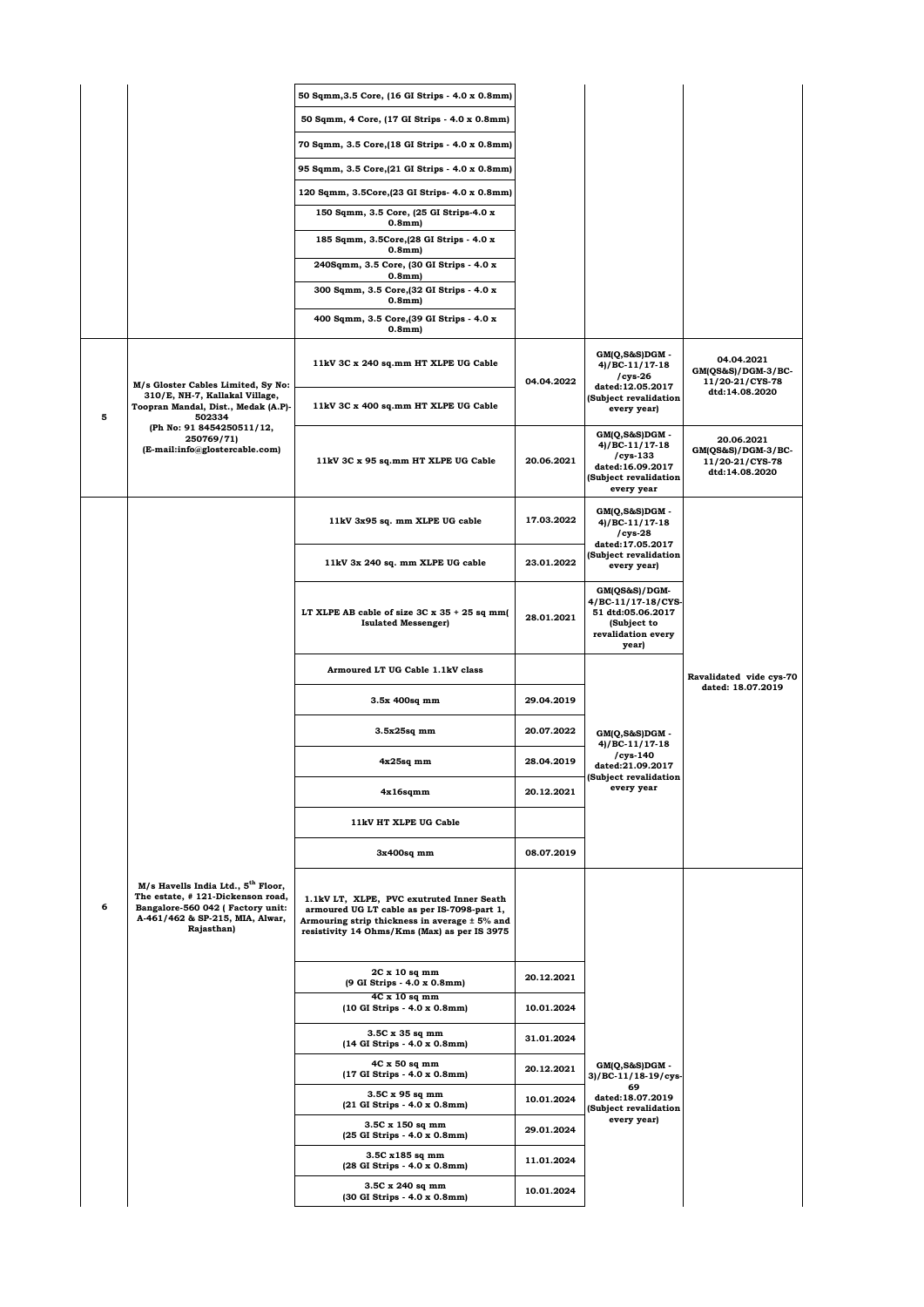|   |                                                                                                                                                                          | 50 Sqmm, 3.5 Core, (16 GI Strips - 4.0 x 0.8mm)                                                                                                                                           |            |                                                                                                           |                                                                       |
|---|--------------------------------------------------------------------------------------------------------------------------------------------------------------------------|-------------------------------------------------------------------------------------------------------------------------------------------------------------------------------------------|------------|-----------------------------------------------------------------------------------------------------------|-----------------------------------------------------------------------|
|   |                                                                                                                                                                          | 50 Sqmm, 4 Core, (17 GI Strips - 4.0 x 0.8mm)                                                                                                                                             |            |                                                                                                           |                                                                       |
|   |                                                                                                                                                                          | 70 Sqmm, 3.5 Core, (18 GI Strips - 4.0 x 0.8mm)                                                                                                                                           |            |                                                                                                           |                                                                       |
|   |                                                                                                                                                                          | 95 Sqmm, 3.5 Core, (21 GI Strips - 4.0 x 0.8mm)                                                                                                                                           |            |                                                                                                           |                                                                       |
|   |                                                                                                                                                                          | 120 Sqmm, 3.5Core, (23 GI Strips- 4.0 x 0.8mm)                                                                                                                                            |            |                                                                                                           |                                                                       |
|   |                                                                                                                                                                          | 150 Sqmm, 3.5 Core, (25 GI Strips-4.0 x<br>0.8mm                                                                                                                                          |            |                                                                                                           |                                                                       |
|   |                                                                                                                                                                          | 185 Sqmm, 3.5Core, (28 GI Strips - 4.0 x<br>0.8mm                                                                                                                                         |            |                                                                                                           |                                                                       |
|   |                                                                                                                                                                          | 240Sqmm, 3.5 Core, (30 GI Strips - 4.0 x<br>0.8mm                                                                                                                                         |            |                                                                                                           |                                                                       |
|   |                                                                                                                                                                          | 300 Sqmm, 3.5 Core, [32 GI Strips - 4.0 x<br>0.8mm                                                                                                                                        |            |                                                                                                           |                                                                       |
|   |                                                                                                                                                                          | 400 Sqmm, 3.5 Core, (39 GI Strips - 4.0 x<br>0.8mm                                                                                                                                        |            |                                                                                                           |                                                                       |
|   | M/s Gloster Cables Limited, Sy No:                                                                                                                                       | 11kV 3C x 240 sq.mm HT XLPE UG Cable                                                                                                                                                      | 04.04.2022 | GM(Q,S&S)DGM -<br>$4)/BC-11/17-18$<br>$/cys-26$<br>dated:12.05.2017                                       | 04.04.2021<br>GM(QS&S)/DGM-3/BC-<br>11/20-21/CYS-78                   |
| 5 | 310/E, NH-7, Kallakal Village,<br>Toopran Mandal, Dist., Medak (A.P)-<br>502334                                                                                          | 11kV 3C x 400 sq.mm HT XLPE UG Cable                                                                                                                                                      |            | (Subject revalidation<br>every year)                                                                      | dtd:14.08.2020                                                        |
|   | (Ph No: 91 8454250511/12,<br>250769/71)<br>(E-mail:info@glostercable.com)                                                                                                | 11kV 3C x 95 sq.mm HT XLPE UG Cable                                                                                                                                                       | 20.06.2021 | GM(Q,S&S)DGM -<br>4)/BC-11/17-18<br>$/cys-133$<br>dated:16.09.2017<br>(Subject revalidation<br>every year | 20.06.2021<br>GM(QS&S)/DGM-3/BC-<br>11/20-21/CYS-78<br>dtd:14.08.2020 |
|   |                                                                                                                                                                          | 11kV 3x95 sq. mm XLPE UG cable                                                                                                                                                            | 17.03.2022 | GM(Q,S&S)DGM -<br>4)/BC-11/17-18<br>$/cys-28$                                                             |                                                                       |
|   |                                                                                                                                                                          | 11kV 3x 240 sq. mm XLPE UG cable                                                                                                                                                          | 23.01.2022 | dated:17.05.2017<br>(Subject revalidation<br>every year)                                                  |                                                                       |
|   |                                                                                                                                                                          | LT XLPE AB cable of size $3C \times 35 + 25$ sq mm(<br><b>Isulated Messenger)</b>                                                                                                         | 28.01.2021 | GM(QS&S)/DGM-<br>4/BC-11/17-18/CYS-<br>51 dtd:05.06.2017<br>(Subject to<br>revalidation every<br>year)    |                                                                       |
|   |                                                                                                                                                                          | Armoured LT UG Cable 1.1kV class                                                                                                                                                          |            |                                                                                                           | Ravalidated vide cys-70                                               |
|   |                                                                                                                                                                          | 3.5x 400sq mm                                                                                                                                                                             | 29.04.2019 |                                                                                                           | dated: 18.07.2019                                                     |
|   |                                                                                                                                                                          | 3.5x25sq mm                                                                                                                                                                               | 20.07.2022 | GM(Q,S&S)DGM -<br>$4)/BC-11/17-18$                                                                        |                                                                       |
|   |                                                                                                                                                                          | $4x25sq$ mm                                                                                                                                                                               | 28.04.2019 | cys-140<br>dated:21.09.2017<br>(Subject revalidation                                                      |                                                                       |
|   |                                                                                                                                                                          | $4x16$ sqmm                                                                                                                                                                               | 20.12.2021 | every year                                                                                                |                                                                       |
|   |                                                                                                                                                                          | 11kV HT XLPE UG Cable                                                                                                                                                                     |            |                                                                                                           |                                                                       |
|   |                                                                                                                                                                          | 3x400sq mm                                                                                                                                                                                | 08.07.2019 |                                                                                                           |                                                                       |
| 6 | M/s Havells India Ltd., 5 <sup>th</sup> Floor,<br>The estate, #121-Dickenson road,<br>Bangalore-560 042 ( Factory unit:<br>A-461/462 & SP-215, MIA, Alwar,<br>Rajasthan) | 1.1kV LT, XLPE, PVC exutruted Inner Seath<br>armoured UG LT cable as per IS-7098-part 1,<br>Armouring strip thickness in average ± 5% and<br>resistivity 14 Ohms/Kms (Max) as per IS 3975 |            |                                                                                                           |                                                                       |
|   |                                                                                                                                                                          | 2C x 10 sq mm<br>(9 GI Strips - 4.0 x 0.8mm)                                                                                                                                              | 20.12.2021 |                                                                                                           |                                                                       |
|   |                                                                                                                                                                          | $4C \times 10$ sq mm<br>(10 GI Strips - 4.0 x 0.8mm)                                                                                                                                      | 10.01.2024 |                                                                                                           |                                                                       |
|   |                                                                                                                                                                          | 3.5C x 35 sq mm<br>(14 GI Strips - 4.0 x 0.8mm)                                                                                                                                           | 31.01.2024 |                                                                                                           |                                                                       |
|   |                                                                                                                                                                          | 4C x 50 sq mm<br>(17 GI Strips - 4.0 x 0.8mm)                                                                                                                                             | 20.12.2021 | $GM(Q, S&S)DGM -$<br>3)/BC-11/18-19/cys-                                                                  |                                                                       |
|   |                                                                                                                                                                          | 3.5C x 95 sq mm<br>(21 GI Strips - 4.0 x 0.8mm)                                                                                                                                           | 10.01.2024 | 69<br>dated:18.07.2019<br>Subject revalidation                                                            |                                                                       |
|   |                                                                                                                                                                          | 3.5C x 150 sq mm<br>(25 GI Strips - 4.0 x 0.8mm)                                                                                                                                          | 29.01.2024 | every year)                                                                                               |                                                                       |
|   |                                                                                                                                                                          | 3.5C x185 sq mm<br>(28 GI Strips - 4.0 x 0.8mm)                                                                                                                                           | 11.01.2024 |                                                                                                           |                                                                       |
|   |                                                                                                                                                                          | 3.5C x 240 sq mm<br>(30 GI Strips - 4.0 x 0.8mm)                                                                                                                                          | 10.01.2024 |                                                                                                           |                                                                       |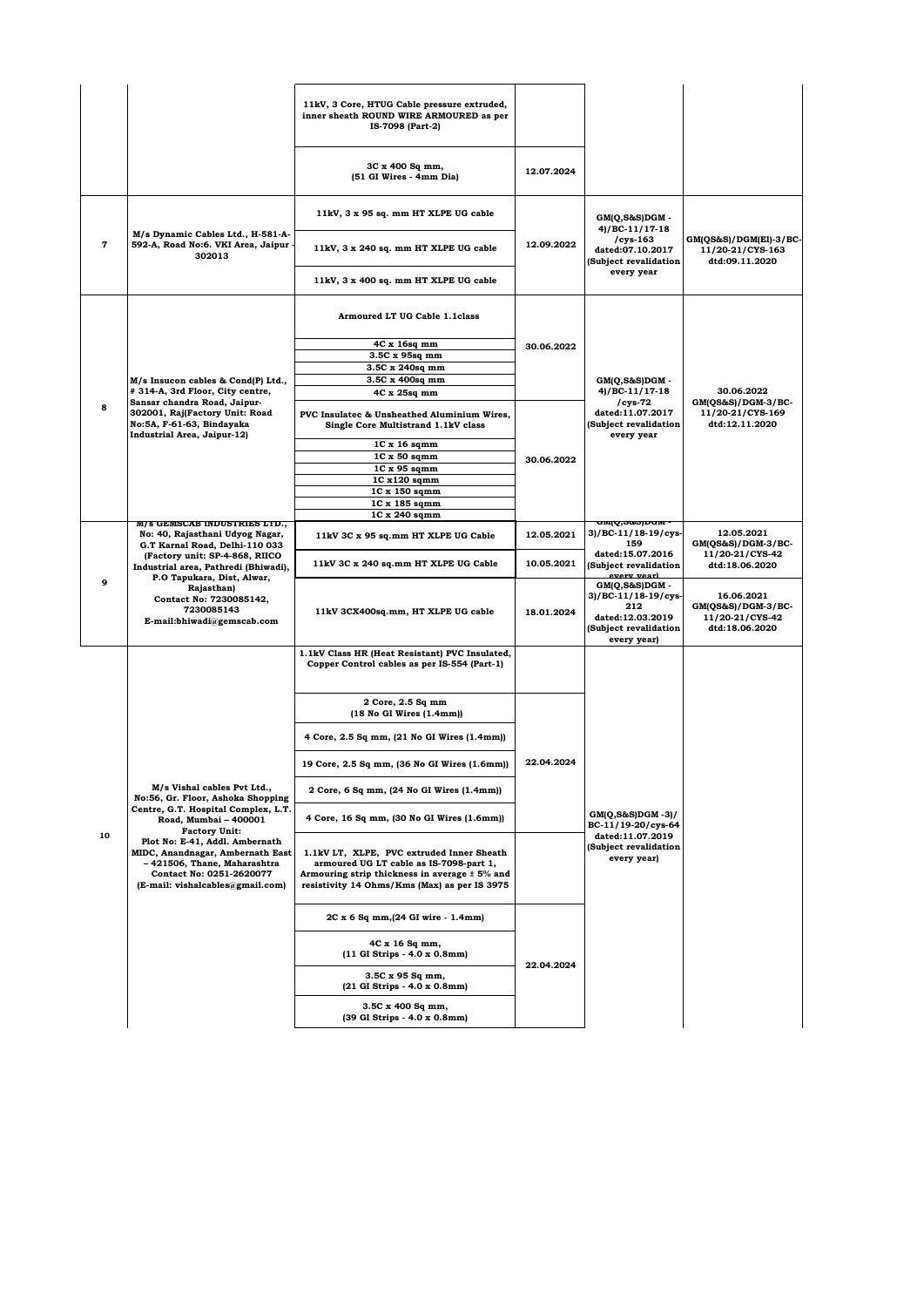|             |                                                                                                                                                                                                                                                                     | 11kV, 3 Core, HTUG Cable pressure extruded,<br>inner sheath ROUND WIRE ARMOURED as per<br>IS-7098 (Part-2)                                                                            |            |                                                                                                             |                                                                       |
|-------------|---------------------------------------------------------------------------------------------------------------------------------------------------------------------------------------------------------------------------------------------------------------------|---------------------------------------------------------------------------------------------------------------------------------------------------------------------------------------|------------|-------------------------------------------------------------------------------------------------------------|-----------------------------------------------------------------------|
|             |                                                                                                                                                                                                                                                                     | 3C x 400 Sq mm,<br>(51 GI Wires - 4mm Dia)                                                                                                                                            | 12.07.2024 |                                                                                                             |                                                                       |
|             |                                                                                                                                                                                                                                                                     | 11kV, 3 x 95 sq. mm HT XLPE UG cable                                                                                                                                                  |            | GM(Q,S&S)DGM -<br>$4)/BC-11/17-18$                                                                          |                                                                       |
| $\mathbf 7$ | M/s Dynamic Cables Ltd., H-581-A-<br>592-A, Road No:6. VKI Area, Jaipur -<br>302013                                                                                                                                                                                 | 11kV, 3 x 240 sq. mm HT XLPE UG cable                                                                                                                                                 | 12.09.2022 | $/cys-163$<br>dated:07.10.2017<br>(Subject revalidation                                                     | GM(QS&S)/DGM(El)-3/BC-<br>11/20-21/CYS-163<br>dtd:09.11.2020          |
|             |                                                                                                                                                                                                                                                                     | 11kV, 3 x 400 sq. mm HT XLPE UG cable                                                                                                                                                 |            | every year                                                                                                  |                                                                       |
|             |                                                                                                                                                                                                                                                                     | Armoured LT UG Cable 1.1class                                                                                                                                                         |            |                                                                                                             |                                                                       |
|             |                                                                                                                                                                                                                                                                     | 4C x 16sq mm                                                                                                                                                                          | 30.06.2022 |                                                                                                             |                                                                       |
|             |                                                                                                                                                                                                                                                                     | 3.5C x 95sq mm                                                                                                                                                                        |            |                                                                                                             |                                                                       |
|             |                                                                                                                                                                                                                                                                     | 3.5C x 240sq mm                                                                                                                                                                       |            |                                                                                                             |                                                                       |
|             | M/s Insucon cables & Cond(P) Ltd.,                                                                                                                                                                                                                                  | 3.5C x 400sq mm                                                                                                                                                                       |            | $GM(Q, S\&S)DGM$ -                                                                                          |                                                                       |
|             | # 314-A, 3rd Floor, City centre,                                                                                                                                                                                                                                    | 4C x 25sq mm                                                                                                                                                                          |            | $4)/BC-11/17-18$                                                                                            | 30.06.2022                                                            |
| 8           | Sansar chandra Road, Jaipur-<br>302001, Raj(Factory Unit: Road<br>No:5A, F-61-63, Bindayaka<br><b>Industrial Area, Jaipur-12)</b>                                                                                                                                   | PVC Insulatec & Unsheathed Aluminium Wires,<br>Single Core Multistrand 1.1kV class                                                                                                    |            | $/cys-72$<br>dated:11.07.2017<br>(Subject revalidation<br>every year                                        | GM(QS&S)/DGM-3/BC-<br>11/20-21/CYS-169<br>dtd:12.11.2020              |
|             |                                                                                                                                                                                                                                                                     | $1C x 16$ sqmm                                                                                                                                                                        |            |                                                                                                             |                                                                       |
|             |                                                                                                                                                                                                                                                                     | $1C \times 50$ sqmm                                                                                                                                                                   | 30.06.2022 |                                                                                                             |                                                                       |
|             |                                                                                                                                                                                                                                                                     | 1C x 95 sqmm                                                                                                                                                                          |            |                                                                                                             |                                                                       |
|             |                                                                                                                                                                                                                                                                     | 1C x120 sqmm                                                                                                                                                                          |            |                                                                                                             |                                                                       |
|             |                                                                                                                                                                                                                                                                     | 1C x 150 sqmm                                                                                                                                                                         |            |                                                                                                             |                                                                       |
|             |                                                                                                                                                                                                                                                                     | 1C x 185 sqmm                                                                                                                                                                         |            |                                                                                                             |                                                                       |
|             | M/s GEMSCAB INDUSTRIES LTD.,                                                                                                                                                                                                                                        | 1C x 240 sqmm                                                                                                                                                                         |            | <del>GMIQ,S&amp;SJDGM</del> -                                                                               |                                                                       |
|             | No: 40, Rajasthani Udyog Nagar,<br>G.T Karnal Road, Delhi-110 033<br>(Factory unit: SP-4-868, RIICO<br>Industrial area, Pathredi (Bhiwadi),<br>P.O Tapukara, Dist, Alwar,<br>9<br>Rajasthan)<br>Contact No: 7230085142,<br>7230085143<br>E-mail:bhiwadi@gemscab.com | 11kV 3C x 95 sq.mm HT XLPE UG Cable                                                                                                                                                   | 12.05.2021 | 3)/BC-11/18-19/cys-<br>159<br>dated:15.07.2016                                                              | 12.05.2021<br>GM(QS&S)/DGM-3/BC-<br>11/20-21/CYS-42                   |
|             |                                                                                                                                                                                                                                                                     | 11kV 3C x 240 sq.mm HT XLPE UG Cable                                                                                                                                                  | 10.05.2021 | (Subject revalidation<br>every year)                                                                        | dtd:18.06.2020                                                        |
|             |                                                                                                                                                                                                                                                                     | 11kV 3CX400sq.mm, HT XLPE UG cable                                                                                                                                                    | 18.01.2024 | $GM(Q, S&S)DGM -$<br>3)/BC-11/18-19/cys-<br>212<br>dated:12.03.2019<br>(Subject revalidation<br>every year) | 16.06.2021<br>GM(QS&S)/DGM-3/BC-<br>11/20-21/CYS-42<br>dtd:18.06.2020 |
|             |                                                                                                                                                                                                                                                                     | 1.1kV Class HR (Heat Resistant) PVC Insulated,<br>Copper Control cables as per IS-554 (Part-1)                                                                                        |            |                                                                                                             |                                                                       |
|             |                                                                                                                                                                                                                                                                     | 2 Core, 2.5 Sq mm<br>$(18$ No GI Wires $(1.4mm)$                                                                                                                                      |            |                                                                                                             |                                                                       |
|             |                                                                                                                                                                                                                                                                     | 4 Core, 2.5 Sq mm, (21 No GI Wires (1.4mm))                                                                                                                                           |            |                                                                                                             |                                                                       |
|             | M/s Vishal cables Pvt Ltd.,<br>No:56, Gr. Floor, Ashoka Shopping                                                                                                                                                                                                    | 19 Core, 2.5 Sq mm, (36 No GI Wires (1.6mm))                                                                                                                                          | 22.04.2024 |                                                                                                             |                                                                       |
|             |                                                                                                                                                                                                                                                                     | 2 Core, 6 Sq mm, (24 No GI Wires (1.4mm))                                                                                                                                             |            |                                                                                                             |                                                                       |
| 10          | Centre, G.T. Hospital Complex, L.T.<br>Road, Mumbai - 400001<br><b>Factory Unit:</b>                                                                                                                                                                                | 4 Core, 16 Sq mm, (30 No GI Wires (1.6mm))                                                                                                                                            |            | $GM(Q, S\&S)DGM - 3)/$<br>BC-11/19-20/cys-64                                                                |                                                                       |
|             | Plot No: E-41, Addl. Ambernath<br>MIDC, Anandnagar, Ambernath East<br>- 421506, Thane, Maharashtra<br>Contact No: 0251-2620077<br>(E-mail: vishalcables@gmail.com)                                                                                                  | 1.1kV LT, XLPE, PVC extruded Inner Sheath<br>armoured UG LT cable as IS-7098-part 1,<br>Armouring strip thickness in average ± 5% and<br>resistivity 14 Ohms/Kms (Max) as per IS 3975 |            | dated:11.07.2019<br>(Subject revalidation<br>every year)                                                    |                                                                       |
|             |                                                                                                                                                                                                                                                                     | 2C x 6 Sq mm, (24 GI wire - 1.4mm)                                                                                                                                                    | 22.04.2024 |                                                                                                             |                                                                       |
|             |                                                                                                                                                                                                                                                                     | 4C x 16 Sq mm,<br>(11 GI Strips - 4.0 x 0.8mm)                                                                                                                                        |            |                                                                                                             |                                                                       |
|             |                                                                                                                                                                                                                                                                     | 3.5C x 95 Sq mm,<br>(21 GI Strips - 4.0 x 0.8mm)                                                                                                                                      |            |                                                                                                             |                                                                       |
|             |                                                                                                                                                                                                                                                                     | 3.5C x 400 Sq mm,<br>(39 GI Strips - 4.0 x 0.8mm)                                                                                                                                     |            |                                                                                                             |                                                                       |
|             |                                                                                                                                                                                                                                                                     |                                                                                                                                                                                       |            |                                                                                                             |                                                                       |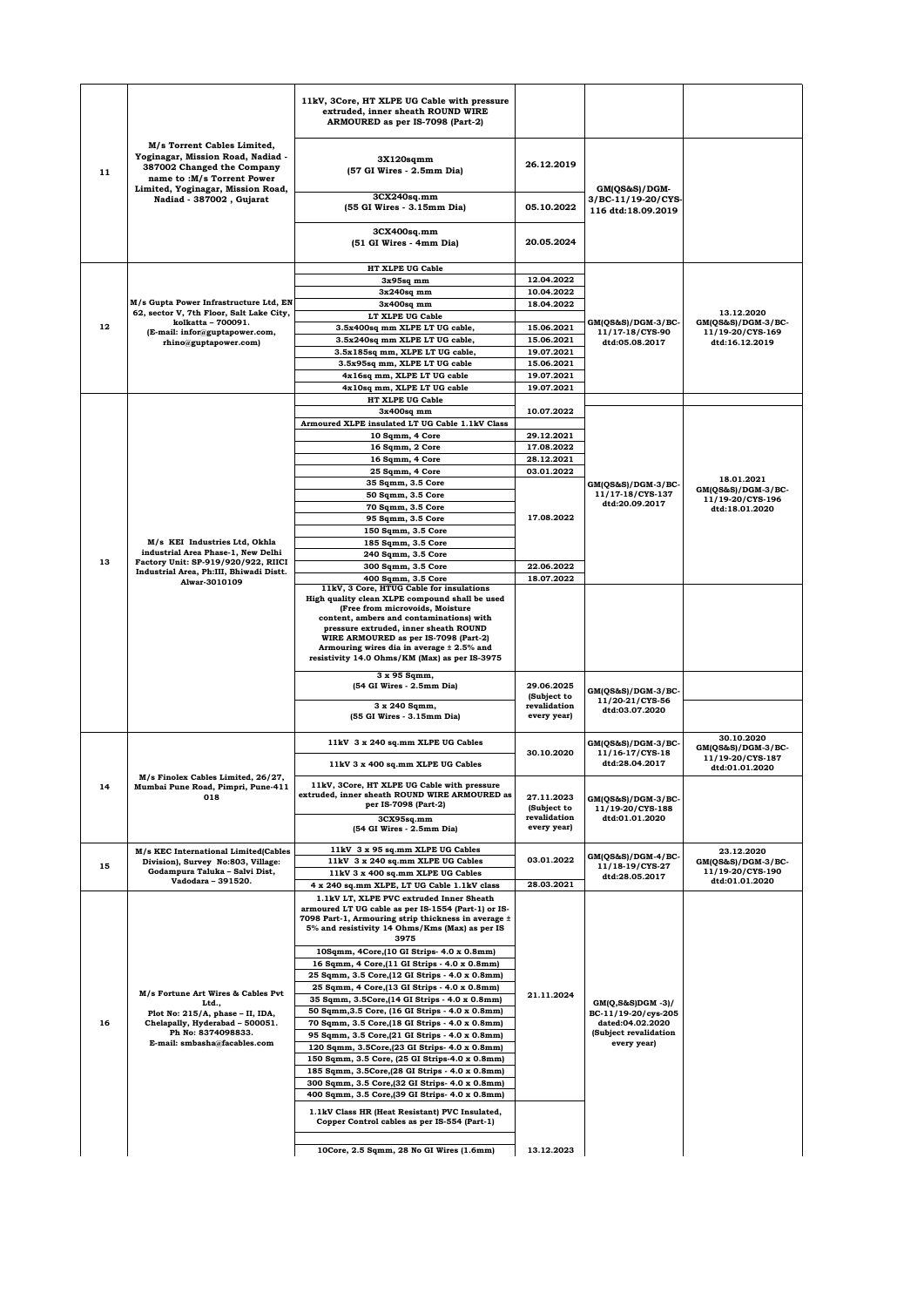|         |                                                                                                                                                                                               | 11kV, 3Core, HT XLPE UG Cable with pressure<br>extruded, inner sheath ROUND WIRE<br>ARMOURED as per IS-7098 (Part-2) |                             |                                                           |                                                        |
|---------|-----------------------------------------------------------------------------------------------------------------------------------------------------------------------------------------------|----------------------------------------------------------------------------------------------------------------------|-----------------------------|-----------------------------------------------------------|--------------------------------------------------------|
| 11      | M/s Torrent Cables Limited,<br>Yoginagar, Mission Road, Nadiad -<br>387002 Changed the Company<br>name to :M/s Torrent Power<br>Limited, Yoginagar, Mission Road,<br>Nadiad - 387002, Gujarat | $3X120$ sqmm<br>(57 GI Wires - 2.5mm Dia)                                                                            | 26.12.2019                  | GM(QS&S)/DGM-<br>3/BC-11/19-20/CYS-<br>116 dtd:18.09.2019 |                                                        |
|         |                                                                                                                                                                                               | 3CX240sqmm<br>(55 GI Wires - 3.15mm Dia)                                                                             | 05.10.2022                  |                                                           |                                                        |
|         |                                                                                                                                                                                               | 3CX400sq.mm<br>(51 GI Wires - 4mm Dia)                                                                               | 20.05.2024                  |                                                           |                                                        |
|         |                                                                                                                                                                                               | HT XLPE UG Cable                                                                                                     |                             |                                                           |                                                        |
|         |                                                                                                                                                                                               | $3x95sq$ mm                                                                                                          | 12.04.2022<br>10.04.2022    |                                                           |                                                        |
|         | M/s Gupta Power Infrastructure Ltd, EN                                                                                                                                                        | $3x240sq$ mm<br>$3x400sq$ mm                                                                                         | 18.04.2022                  |                                                           | 13.12.2020                                             |
|         | 62, sector V, 7th Floor, Salt Lake City,                                                                                                                                                      | LT XLPE UG Cable                                                                                                     |                             |                                                           |                                                        |
| $12 \,$ | kolkatta - 700091.<br>(E-mail: infor@guptapower.com,                                                                                                                                          | 3.5x400sq mm XLPE LT UG cable,                                                                                       | 15.06.2021                  | GM(QS&S)/DGM-3/BC-<br>11/17-18/CYS-90                     | $GM(QS&S)/DGM-3/BC-$<br>11/19-20/CYS-169               |
|         | rhino@guptapower.com)                                                                                                                                                                         | 3.5x240sq mm XLPE LT UG cable,                                                                                       | 15.06.2021                  | dtd:05.08.2017                                            | dtd:16.12.2019                                         |
|         |                                                                                                                                                                                               | 3.5x185sq mm, XLPE LT UG cable,                                                                                      | 19.07.2021<br>15.06.2021    |                                                           |                                                        |
|         |                                                                                                                                                                                               | 3.5x95sq mm, XLPE LT UG cable<br>4x16sq mm, XLPE LT UG cable                                                         | 19.07.2021                  |                                                           |                                                        |
|         |                                                                                                                                                                                               | 4x10sq mm, XLPE LT UG cable                                                                                          | 19.07.2021                  |                                                           |                                                        |
|         |                                                                                                                                                                                               | HT XLPE UG Cable                                                                                                     |                             |                                                           |                                                        |
|         |                                                                                                                                                                                               | $3x400sq$ mm                                                                                                         | 10.07.2022                  |                                                           |                                                        |
|         |                                                                                                                                                                                               | Armoured XLPE insulated LT UG Cable 1.1kV Class                                                                      |                             |                                                           |                                                        |
|         |                                                                                                                                                                                               | 10 Sqmm, 4 Core                                                                                                      | 29.12.2021                  |                                                           |                                                        |
|         |                                                                                                                                                                                               | 16 Sqmm, 2 Core                                                                                                      | 17.08.2022<br>28.12.2021    |                                                           |                                                        |
|         |                                                                                                                                                                                               | 16 Sqmm, 4 Core<br>25 Sqmm, 4 Core                                                                                   | 03.01.2022                  |                                                           |                                                        |
|         |                                                                                                                                                                                               | 35 Sqmm, 3.5 Core                                                                                                    |                             | GM(QS&S)/DGM-3/BC-                                        | 18.01.2021                                             |
|         |                                                                                                                                                                                               | 50 Sqmm, 3.5 Core                                                                                                    |                             | 11/17-18/CYS-137                                          | GM(QS&S)/DGM-3/BC-<br>11/19-20/CYS-196                 |
|         |                                                                                                                                                                                               | 70 Sqmm, 3.5 Core                                                                                                    |                             | dtd:20.09.2017                                            | dtd:18.01.2020                                         |
|         |                                                                                                                                                                                               | 95 Sqmm, 3.5 Core                                                                                                    | 17.08.2022                  |                                                           |                                                        |
|         |                                                                                                                                                                                               | 150 Sqmm, 3.5 Core                                                                                                   |                             |                                                           |                                                        |
|         | M/s KEI Industries Ltd, Okhla<br>industrial Area Phase-1, New Delhi                                                                                                                           | 185 Sqmm, 3.5 Core<br>240 Sqmm, 3.5 Core                                                                             |                             |                                                           |                                                        |
| 13      | Factory Unit: SP-919/920/922, RIICI                                                                                                                                                           | 300 Sqmm, 3.5 Core                                                                                                   | 22.06.2022                  |                                                           |                                                        |
|         | Industrial Area, Ph:III, Bhiwadi Distt.<br>Alwar-3010109                                                                                                                                      | 400 Sqmm, 3.5 Core                                                                                                   | 18.07.2022                  |                                                           |                                                        |
|         |                                                                                                                                                                                               | 11kV, 3 Core, HTUG Cable for insulations<br>High quality clean XLPE compound shall be used                           |                             |                                                           |                                                        |
|         |                                                                                                                                                                                               | (Free from microvoids, Moisture                                                                                      |                             |                                                           |                                                        |
|         |                                                                                                                                                                                               | content, ambers and contaminations) with                                                                             |                             |                                                           |                                                        |
|         |                                                                                                                                                                                               | pressure extruded, inner sheath ROUND<br>WIRE ARMOURED as per IS-7098 (Part-2)                                       |                             |                                                           |                                                        |
|         |                                                                                                                                                                                               | Armouring wires dia in average ± 2.5% and<br>resistivity 14.0 Ohms/KM (Max) as per IS-3975                           |                             |                                                           |                                                        |
|         |                                                                                                                                                                                               | 3 x 95 Sqmm,<br>(54 GI Wires - 2.5mm Dia)                                                                            | 29.06.2025<br>(Subject to   | GM(QS&S)/DGM-3/BC-<br>11/20-21/CYS-56                     |                                                        |
|         |                                                                                                                                                                                               | 3 x 240 Sqmm,<br>(55 GI Wires - 3.15mm Dia)                                                                          | revalidation<br>every year) | dtd:03.07.2020                                            |                                                        |
|         |                                                                                                                                                                                               | 11kV 3 x 240 sq.mm XLPE UG Cables                                                                                    | 30.10.2020                  | GM(QS&S)/DGM-3/BC-<br>11/16-17/CYS-18                     | 30.10.2020<br>$GM(QS&S)/DGM-3/BC-$<br>11/19-20/CYS-187 |
|         |                                                                                                                                                                                               | 11kV 3 x 400 sq.mm XLPE UG Cables                                                                                    |                             | dtd:28.04.2017                                            | dtd:01.01.2020                                         |
| 14      | M/s Finolex Cables Limited, 26/27.<br>Mumbai Pune Road, Pimpri, Pune-411<br>018                                                                                                               | 11kV, 3Core, HT XLPE UG Cable with pressure<br>extruded, inner sheath ROUND WIRE ARMOURED as<br>per IS-7098 (Part-2) | 27.11.2023<br>(Subject to   | GM(QS&S)/DGM-3/BC-                                        |                                                        |
|         |                                                                                                                                                                                               | 3CX95sq.mm<br>(54 GI Wires - 2.5mm Dia)                                                                              | revalidation<br>every year) | 11/19-20/CYS-188<br>dtd:01.01.2020                        |                                                        |
|         |                                                                                                                                                                                               | 11kV 3 x 95 sq.mm XLPE UG Cables                                                                                     |                             |                                                           |                                                        |
|         | M/s KEC International Limited(Cables<br>Division), Survey No:803, Village:                                                                                                                    | 11kV 3 x 240 sq.mm XLPE UG Cables                                                                                    | 03.01.2022                  | GM(QS&S)/DGM-4/BC-                                        | 23.12.2020<br>$GM(QS&S)/DGM-3/BC-$                     |
| 15      | Godampura Taluka - Salvi Dist,                                                                                                                                                                | 11kV 3 x 400 sq.mm XLPE UG Cables                                                                                    |                             | 11/18-19/CYS-27<br>dtd:28.05.2017                         | 11/19-20/CYS-190                                       |
|         | Vadodara - 391520.                                                                                                                                                                            | 4 x 240 sq.mm XLPE, LT UG Cable 1.1kV class                                                                          | 28.03.2021                  |                                                           | dtd:01.01.2020                                         |
|         |                                                                                                                                                                                               | 1.1kV LT, XLPE PVC extruded Inner Sheath<br>armoured LT UG cable as per IS-1554 (Part-1) or IS-                      |                             |                                                           |                                                        |
|         |                                                                                                                                                                                               | 7098 Part-1, Armouring strip thickness in average ±<br>5% and resistivity 14 Ohms/Kms (Max) as per IS                |                             |                                                           |                                                        |
|         |                                                                                                                                                                                               | 3975<br>10Sqmm, 4Core, (10 GI Strips- 4.0 x 0.8mm)                                                                   |                             |                                                           |                                                        |
|         |                                                                                                                                                                                               | 16 Sqmm, 4 Core, (11 GI Strips - 4.0 x 0.8mm)                                                                        |                             |                                                           |                                                        |
|         | M/s Fortune Art Wires & Cables Pvt                                                                                                                                                            | 25 Sqmm, 3.5 Core, (12 GI Strips - 4.0 x 0.8mm)                                                                      |                             |                                                           |                                                        |
|         |                                                                                                                                                                                               | 25 Sqmm, 4 Core, (13 GI Strips - 4.0 x 0.8mm)                                                                        | 21.11.2024                  |                                                           |                                                        |
|         | Ltd.,                                                                                                                                                                                         | 35 Sqmm, 3.5Core, (14 GI Strips - 4.0 x 0.8mm)                                                                       |                             | $GM(Q, S\&S)DGM -3)/$                                     |                                                        |
|         | Plot No: 215/A, phase - II, IDA,<br>Chelapally, Hyderabad - 500051.                                                                                                                           | 50 Sqmm, 3.5 Core, (16 GI Strips - 4.0 x 0.8mm)                                                                      |                             | BC-11/19-20/cys-205<br>dated:04.02.2020                   |                                                        |
| 16      | Ph No: 8374098833.                                                                                                                                                                            | 70 Sqmm, 3.5 Core, (18 GI Strips - 4.0 x 0.8mm)<br>95 Sqmm, 3.5 Core, (21 GI Strips - 4.0 x 0.8mm)                   |                             | (Subject revalidation                                     |                                                        |
|         | E-mail: smbasha@facables.com                                                                                                                                                                  | 120 Sqmm, 3.5Core, (23 GI Strips- 4.0 x 0.8mm)                                                                       |                             | every year)                                               |                                                        |
|         |                                                                                                                                                                                               | 150 Sqmm, 3.5 Core, (25 GI Strips-4.0 x 0.8mm)                                                                       |                             |                                                           |                                                        |
|         |                                                                                                                                                                                               | 185 Sqmm, 3.5Core, (28 GI Strips - 4.0 x 0.8mm)                                                                      |                             |                                                           |                                                        |
|         |                                                                                                                                                                                               | 300 Sqmm, 3.5 Core, (32 GI Strips- 4.0 x 0.8mm)<br>400 Sqmm, 3.5 Core, (39 GI Strips- 4.0 x 0.8mm)                   |                             |                                                           |                                                        |
|         |                                                                                                                                                                                               |                                                                                                                      |                             |                                                           |                                                        |
|         |                                                                                                                                                                                               | 1.1kV Class HR (Heat Resistant) PVC Insulated,<br>Copper Control cables as per IS-554 (Part-1)                       |                             |                                                           |                                                        |
|         |                                                                                                                                                                                               | 10Core, 2.5 Sqmm, 28 No GI Wires (1.6mm)                                                                             | 13.12.2023                  |                                                           |                                                        |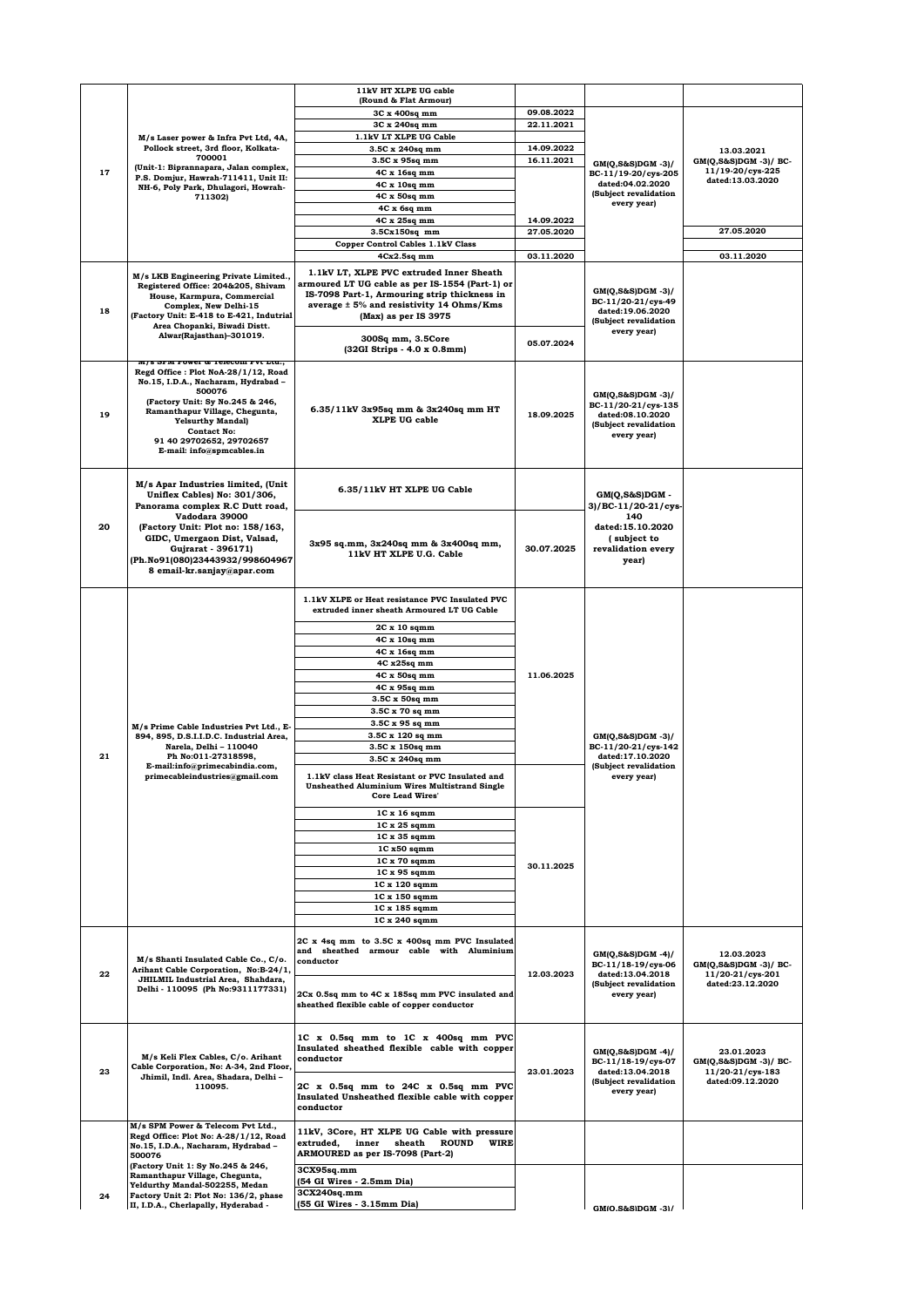|    |                                                                                                                                                                                                                                                                       | 11kV HT XLPE UG cable                                                                                                                   |            |                                                                                                        |                                                                             |
|----|-----------------------------------------------------------------------------------------------------------------------------------------------------------------------------------------------------------------------------------------------------------------------|-----------------------------------------------------------------------------------------------------------------------------------------|------------|--------------------------------------------------------------------------------------------------------|-----------------------------------------------------------------------------|
|    |                                                                                                                                                                                                                                                                       | (Round & Flat Armour)                                                                                                                   |            |                                                                                                        |                                                                             |
|    |                                                                                                                                                                                                                                                                       | 3C x 400sq mm                                                                                                                           | 09.08.2022 |                                                                                                        |                                                                             |
|    |                                                                                                                                                                                                                                                                       | 3C x 240sq mm                                                                                                                           | 22.11.2021 |                                                                                                        |                                                                             |
|    | M/s Laser power & Infra Pvt Ltd, 4A,                                                                                                                                                                                                                                  | 1.1kV LT XLPE UG Cable                                                                                                                  |            |                                                                                                        |                                                                             |
|    | Pollock street, 3rd floor, Kolkata-<br>700001<br>(Unit-1: Biprannapara, Jalan complex,                                                                                                                                                                                | 3.5C x 240sq mm                                                                                                                         | 14.09.2022 |                                                                                                        | 13.03.2021                                                                  |
| 17 |                                                                                                                                                                                                                                                                       | 3.5C x 95sq mm<br>4C x 16sq mm                                                                                                          | 16.11.2021 | GM(Q,S&S)DGM -3)/                                                                                      | GM(Q,S&S)DGM -3)/ BC-<br>11/19-20/cys-225                                   |
|    | P.S. Domjur, Hawrah-711411, Unit II:                                                                                                                                                                                                                                  | 4C x 10sq mm                                                                                                                            |            | BC-11/19-20/cys-205<br>dated:04.02.2020                                                                | dated:13.03.2020                                                            |
|    | NH-6, Poly Park, Dhulagori, Howrah-<br>711302)                                                                                                                                                                                                                        | 4C x 50sq mm                                                                                                                            |            | (Subject revalidation                                                                                  |                                                                             |
|    |                                                                                                                                                                                                                                                                       | 4C x 6sq mm                                                                                                                             |            | every year)                                                                                            |                                                                             |
|    |                                                                                                                                                                                                                                                                       | 4C x 25sq mm                                                                                                                            | 14.09.2022 |                                                                                                        |                                                                             |
|    |                                                                                                                                                                                                                                                                       | $3.5Cx150sq$ mm                                                                                                                         | 27.05.2020 |                                                                                                        | 27.05.2020                                                                  |
|    |                                                                                                                                                                                                                                                                       | <b>Copper Control Cables 1.1kV Class</b>                                                                                                |            |                                                                                                        |                                                                             |
|    |                                                                                                                                                                                                                                                                       | $4Cx2.5sq$ mm                                                                                                                           | 03.11.2020 |                                                                                                        | 03.11.2020                                                                  |
|    |                                                                                                                                                                                                                                                                       | 1.1kV LT. XLPE PVC extruded Inner Sheath                                                                                                |            |                                                                                                        |                                                                             |
|    | M/s LKB Engineering Private Limited.,<br>Registered Office: 204&205, Shivam                                                                                                                                                                                           | armoured LT UG cable as per IS-1554 (Part-1) or                                                                                         |            |                                                                                                        |                                                                             |
|    | House, Karmpura, Commercial<br>Complex, New Delhi-15                                                                                                                                                                                                                  | IS-7098 Part-1, Armouring strip thickness in                                                                                            |            | GM(Q,S&S)DGM -3)/                                                                                      |                                                                             |
| 18 |                                                                                                                                                                                                                                                                       | average ± 5% and resistivity 14 Ohms/Kms                                                                                                |            | BC-11/20-21/cys-49<br>dated:19.06.2020                                                                 |                                                                             |
|    | (Factory Unit: E-418 to E-421, Indutrial<br>Area Chopanki, Biwadi Distt.                                                                                                                                                                                              | (Max) as per IS 3975                                                                                                                    |            | (Subject revalidation                                                                                  |                                                                             |
|    | Alwar(Rajasthan)-301019.                                                                                                                                                                                                                                              | 300Sq mm, 3.5Core                                                                                                                       |            | every year)                                                                                            |                                                                             |
|    |                                                                                                                                                                                                                                                                       | (32GI Strips - 4.0 x 0.8mm)                                                                                                             | 05.07.2024 |                                                                                                        |                                                                             |
|    | м/s эгм гоwer оз тенесот гvt Ltu.,                                                                                                                                                                                                                                    |                                                                                                                                         |            |                                                                                                        |                                                                             |
| 19 | Regd Office : Plot NoA-28/1/12, Road<br>No.15, I.D.A., Nacharam, Hydrabad -<br>500076<br>(Factory Unit: Sy No.245 & 246,<br>Ramanthapur Village, Chegunta,<br><b>Yelsurthy Mandal)</b><br><b>Contact No:</b><br>91 40 29702652, 29702657<br>E-mail: info@spmcables.in | 6.35/11kV 3x95sq mm & 3x240sq mm HT<br><b>XLPE UG cable</b>                                                                             | 18.09.2025 | GM(Q,S&S)DGM -3)/<br>BC-11/20-21/cys-135<br>dated:08.10.2020<br>(Subject revalidation<br>every year)   |                                                                             |
|    | M/s Apar Industries limited, (Unit<br>Uniflex Cables) No: 301/306,<br>Panorama complex R.C Dutt road,                                                                                                                                                                 | 6.35/11kV HT XLPE UG Cable                                                                                                              |            | $GM(Q, S\&S)DGM -$<br>3)/BC-11/20-21/cys-                                                              |                                                                             |
| 20 | Vadodara 39000<br>(Factory Unit: Plot no: 158/163,<br>GIDC, Umergaon Dist, Valsad,<br>Gujrarat - 396171)<br>(Ph.No91(080)23443932/998604967<br>8 email-kr.sanjay@apar.com                                                                                             | 3x95 sq.mm, 3x240sq mm & 3x400sq mm,<br>11kV HT XLPE U.G. Cable                                                                         | 30.07.2025 | 140<br>dated:15.10.2020<br>(subject to<br>revalidation every<br>year)                                  |                                                                             |
|    |                                                                                                                                                                                                                                                                       | 1.1kV XLPE or Heat resistance PVC Insulated PVC<br>extruded inner sheath Armoured LT UG Cable                                           |            |                                                                                                        |                                                                             |
|    |                                                                                                                                                                                                                                                                       | $2C x 10$ sqmm                                                                                                                          |            |                                                                                                        |                                                                             |
|    |                                                                                                                                                                                                                                                                       | 4C x 10sq mm                                                                                                                            |            |                                                                                                        |                                                                             |
|    |                                                                                                                                                                                                                                                                       | 4C x 16sq mm                                                                                                                            |            |                                                                                                        |                                                                             |
|    |                                                                                                                                                                                                                                                                       | 4C x25sq mm                                                                                                                             |            |                                                                                                        |                                                                             |
|    |                                                                                                                                                                                                                                                                       | 4C x 50sq mm                                                                                                                            | 11.06.2025 |                                                                                                        |                                                                             |
|    |                                                                                                                                                                                                                                                                       | 4C x 95sq mm                                                                                                                            |            |                                                                                                        |                                                                             |
|    |                                                                                                                                                                                                                                                                       | 3.5C x 50sq mm                                                                                                                          |            |                                                                                                        |                                                                             |
|    |                                                                                                                                                                                                                                                                       | 3.5C x 70 sq mm<br>3.5C x 95 sq mm                                                                                                      |            |                                                                                                        |                                                                             |
|    | M/s Prime Cable Industries Pvt Ltd., E-<br>894, 895, D.S.I.I.D.C. Industrial Area,                                                                                                                                                                                    | 3.5C x 120 sq mm                                                                                                                        |            |                                                                                                        |                                                                             |
|    | Narela, Delhi - 110040                                                                                                                                                                                                                                                | 3.5C x 150sq mm                                                                                                                         |            | $GM(Q, S\&S)DGM -3)/$<br>BC-11/20-21/cys-142                                                           |                                                                             |
| 21 | Ph No:011-27318598,                                                                                                                                                                                                                                                   | 3.5C x 240sq mm                                                                                                                         |            | dated:17.10.2020<br>(Subject revalidation<br>every year)                                               |                                                                             |
|    | E-mail:info@primecabindia.com,<br>primecableindustries@gmail.com                                                                                                                                                                                                      | 1.1kV class Heat Resistant or PVC Insulated and<br><b>Unsheathed Aluminium Wires Multistrand Single</b><br><b>Core Lead Wires'</b>      |            |                                                                                                        |                                                                             |
|    |                                                                                                                                                                                                                                                                       | $1C x 16$ sqmm                                                                                                                          |            |                                                                                                        |                                                                             |
|    |                                                                                                                                                                                                                                                                       | 1C x 25 sqmm                                                                                                                            |            |                                                                                                        |                                                                             |
|    |                                                                                                                                                                                                                                                                       | 1C x 35 sqmm                                                                                                                            |            |                                                                                                        |                                                                             |
|    |                                                                                                                                                                                                                                                                       | 1C x50 sqmm                                                                                                                             |            |                                                                                                        |                                                                             |
|    |                                                                                                                                                                                                                                                                       | 1C x 70 sqmm<br>1C x 95 sqmm                                                                                                            | 30.11.2025 |                                                                                                        |                                                                             |
|    |                                                                                                                                                                                                                                                                       | 1C x 120 sqmm                                                                                                                           |            |                                                                                                        |                                                                             |
|    |                                                                                                                                                                                                                                                                       | 1C x 150 sqmm                                                                                                                           |            |                                                                                                        |                                                                             |
|    |                                                                                                                                                                                                                                                                       | 1C x 185 sqmm                                                                                                                           |            |                                                                                                        |                                                                             |
|    |                                                                                                                                                                                                                                                                       | 1C x 240 sqmm                                                                                                                           |            |                                                                                                        |                                                                             |
| 22 | M/s Shanti Insulated Cable Co., C/o.<br>Arihant Cable Corporation, No:B-24/1,                                                                                                                                                                                         | 2C x 4sq mm to 3.5C x 400sq mm PVC Insulated<br>and sheathed armour cable with Aluminium<br>conductor                                   | 12.03.2023 | GM(Q,S&S)DGM -4)/<br>BC-11/18-19/cys-06<br>dated:13.04.2018                                            | 12.03.2023<br>GM(Q,S&S)DGM -3)/ BC-<br>11/20-21/cys-201                     |
|    | JHILMIL Industrial Area, Shahdara,<br>Delhi - 110095 (Ph No:9311177331)                                                                                                                                                                                               | 2Cx 0.5sq mm to 4C x 185sq mm PVC insulated and<br>sheathed flexible cable of copper conductor                                          |            | (Subject revalidation<br>every year)                                                                   | dated:23.12.2020                                                            |
| 23 | M/s Keli Flex Cables, C/o. Arihant<br>Cable Corporation, No: A-34, 2nd Floor,<br>Jhimil, Indl. Area, Shadara, Delhi -<br>110095.                                                                                                                                      | 1C x 0.5sq mm to 1C x 400sq mm PVC<br>Insulated sheathed flexible cable with copper<br>conductor<br>2C x 0.5sq mm to 24C x 0.5sq mm PVC | 23.01.2023 | $GM(Q, S&S)DGM -4)/$<br>BC-11/18-19/cys-07<br>dated:13.04.2018<br>(Subject revalidation<br>every year) | 23.01.2023<br>GM(Q,S&S)DGM -3)/ BC-<br>11/20-21/cys-183<br>dated:09.12.2020 |
|    | M/s SPM Power & Telecom Pvt Ltd.,                                                                                                                                                                                                                                     | Insulated Unsheathed flexible cable with copper<br>conductor                                                                            |            |                                                                                                        |                                                                             |
|    | Regd Office: Plot No: A-28/1/12, Road<br>No.15, I.D.A., Nacharam, Hydrabad -<br>500076<br>(Factory Unit 1: Sy No.245 & 246,                                                                                                                                           | 11kV, 3Core, HT XLPE UG Cable with pressure<br>inner sheath ROUND<br>WIRE<br>extruded,<br>ARMOURED as per IS-7098 (Part-2)              |            |                                                                                                        |                                                                             |
|    | Ramanthapur Village, Chegunta,                                                                                                                                                                                                                                        | 3CX95sq.mm<br>(54 GI Wires - 2.5mm Dia)                                                                                                 |            |                                                                                                        |                                                                             |
|    | Yeldurthy Mandal-502255, Medan<br>Factory Unit 2: Plot No: 136/2, phase                                                                                                                                                                                               | 3CX240sq.mm                                                                                                                             |            |                                                                                                        |                                                                             |
| 24 | II, I.D.A., Cherlapally, Hyderabad -                                                                                                                                                                                                                                  | (55 GI Wires - 3.15mm Dia)                                                                                                              |            | GMIO S&SIDGM -31/                                                                                      |                                                                             |